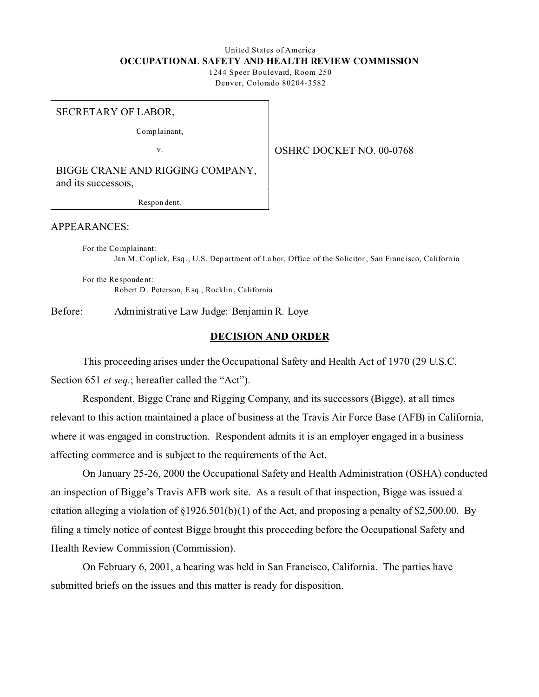# United States of America **OCCUPATIONAL SAFETY AND HEALTH REVIEW COMMISSION**

1244 Speer Boulevard, Room 250 Denver, Colorado 80204-3582

#### SECRETARY OF LABOR,

Comp lainant,

v.

## OSHRC DOCKET NO. 00-0768

BIGGE CRANE AND RIGGING COMPANY, and its successors,

Respon dent.

### APPEARANCES:

For the Co mplainant: Jan M. C oplick, Esq ., U.S. Dep artment of La bor, Office of the Solicitor , San Franc isco, Californ ia

For the Re sponde nt: Robert D . Peterson, E sq., Rocklin , California

Before: Administrative Law Judge: Benjamin R. Loye

### **DECISION AND ORDER**

This proceeding arises under the Occupational Safety and Health Act of 1970 (29 U.S.C. Section 651 *et seq.*; hereafter called the "Act").

Respondent, Bigge Crane and Rigging Company, and its successors (Bigge), at all times relevant to this action maintained a place of business at the Travis Air Force Base (AFB) in California, where it was engaged in construction. Respondent admits it is an employer engaged in a business affecting commerce and is subject to the requirements of the Act.

On January 25-26, 2000 the Occupational Safety and Health Administration (OSHA) conducted an inspection of Bigge's Travis AFB work site. As a result of that inspection, Bigge was issued a citation alleging a violation of §1926.501(b)(1) of the Act, and proposing a penalty of \$2,500.00. By filing a timely notice of contest Bigge brought this proceeding before the Occupational Safety and Health Review Commission (Commission).

On February 6, 2001, a hearing was held in San Francisco, California. The parties have submitted briefs on the issues and this matter is ready for disposition.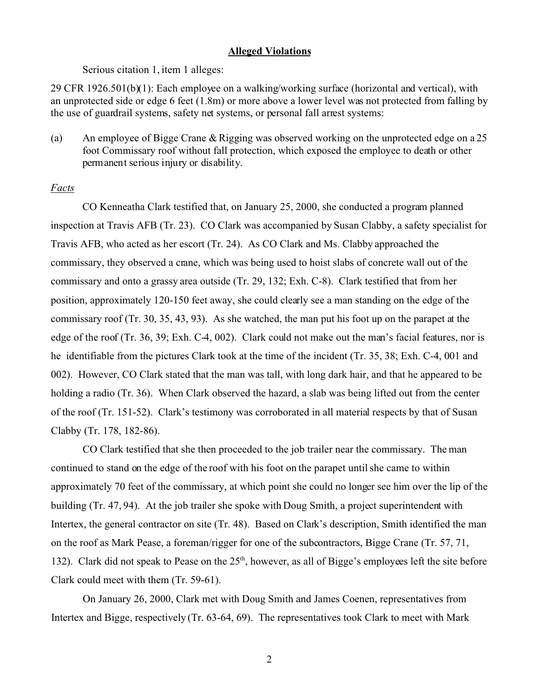## **Alleged Violations**

Serious citation 1, item 1 alleges:

29 CFR 1926.501(b)(1): Each employee on a walking/working surface (horizontal and vertical), with an unprotected side or edge 6 feet (1.8m) or more above a lower level was not protected from falling by the use of guardrail systems, safety net systems, or personal fall arrest systems:

(a) An employee of Bigge Crane & Rigging was observed working on the unprotected edge on a 25 foot Commissary roof without fall protection, which exposed the employee to death or other permanent serious injury or disability.

## *Facts*

CO Kenneatha Clark testified that, on January 25, 2000, she conducted a program planned inspection at Travis AFB (Tr. 23). CO Clark was accompanied by Susan Clabby, a safety specialist for Travis AFB, who acted as her escort (Tr. 24). As CO Clark and Ms. Clabby approached the commissary, they observed a crane, which was being used to hoist slabs of concrete wall out of the commissary and onto a grassy area outside (Tr. 29, 132; Exh. C-8). Clark testified that from her position, approximately 120-150 feet away, she could clearly see a man standing on the edge of the commissary roof (Tr. 30, 35, 43, 93). As she watched, the man put his foot up on the parapet at the edge of the roof (Tr. 36, 39; Exh. C-4, 002). Clark could not make out the man's facial features, nor is he identifiable from the pictures Clark took at the time of the incident (Tr. 35, 38; Exh. C-4, 001 and 002). However, CO Clark stated that the man was tall, with long dark hair, and that he appeared to be holding a radio (Tr. 36). When Clark observed the hazard, a slab was being lifted out from the center of the roof (Tr. 151-52). Clark's testimony was corroborated in all material respects by that of Susan Clabby (Tr. 178, 182-86).

CO Clark testified that she then proceeded to the job trailer near the commissary. The man continued to stand on the edge of the roof with his foot on the parapet until she came to within approximately 70 feet of the commissary, at which point she could no longer see him over the lip of the building (Tr. 47, 94). At the job trailer she spoke with Doug Smith, a project superintendent with Intertex, the general contractor on site (Tr. 48). Based on Clark's description, Smith identified the man on the roof as Mark Pease, a foreman/rigger for one of the subcontractors, Bigge Crane (Tr. 57, 71, 132). Clark did not speak to Pease on the  $25<sup>th</sup>$ , however, as all of Bigge's employees left the site before Clark could meet with them (Tr. 59-61).

On January 26, 2000, Clark met with Doug Smith and James Coenen, representatives from Intertex and Bigge, respectively (Tr. 63-64, 69). The representatives took Clark to meet with Mark

2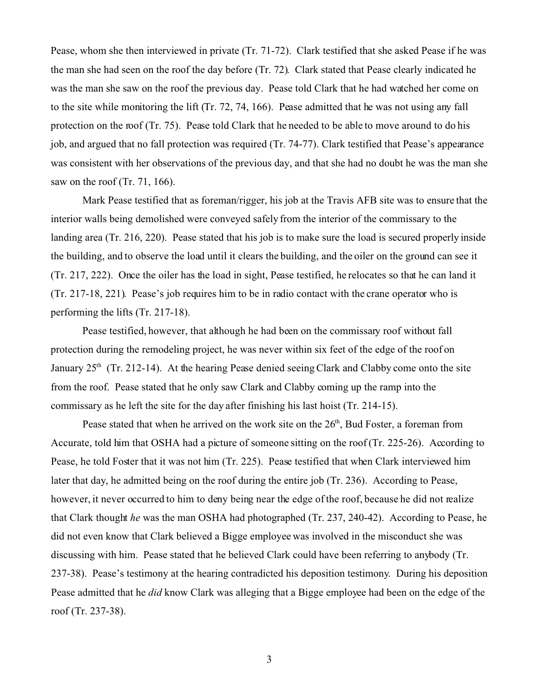Pease, whom she then interviewed in private (Tr. 71-72). Clark testified that she asked Pease if he was the man she had seen on the roof the day before (Tr. 72). Clark stated that Pease clearly indicated he was the man she saw on the roof the previous day. Pease told Clark that he had watched her come on to the site while monitoring the lift (Tr. 72, 74, 166). Pease admitted that he was not using any fall protection on the roof (Tr. 75). Pease told Clark that he needed to be able to move around to do his job, and argued that no fall protection was required (Tr. 74-77). Clark testified that Pease's appearance was consistent with her observations of the previous day, and that she had no doubt he was the man she saw on the roof (Tr. 71, 166).

Mark Pease testified that as foreman/rigger, his job at the Travis AFB site was to ensure that the interior walls being demolished were conveyed safely from the interior of the commissary to the landing area (Tr. 216, 220). Pease stated that his job is to make sure the load is secured properly inside the building, and to observe the load until it clears the building, and the oiler on the ground can see it (Tr. 217, 222). Once the oiler has the load in sight, Pease testified, he relocates so that he can land it (Tr. 217-18, 221). Pease's job requires him to be in radio contact with the crane operator who is performing the lifts (Tr. 217-18).

Pease testified, however, that although he had been on the commissary roof without fall protection during the remodeling project, he was never within six feet of the edge of the roof on January  $25<sup>th</sup>$  (Tr. 212-14). At the hearing Pease denied seeing Clark and Clabby come onto the site from the roof. Pease stated that he only saw Clark and Clabby coming up the ramp into the commissary as he left the site for the day after finishing his last hoist (Tr. 214-15).

Pease stated that when he arrived on the work site on the  $26<sup>th</sup>$ , Bud Foster, a foreman from Accurate, told him that OSHA had a picture of someone sitting on the roof (Tr. 225-26). According to Pease, he told Foster that it was not him (Tr. 225). Pease testified that when Clark interviewed him later that day, he admitted being on the roof during the entire job (Tr. 236). According to Pease, however, it never occurred to him to deny being near the edge of the roof, because he did not realize that Clark thought *he* was the man OSHA had photographed (Tr. 237, 240-42). According to Pease, he did not even know that Clark believed a Bigge employee was involved in the misconduct she was discussing with him. Pease stated that he believed Clark could have been referring to anybody (Tr. 237-38). Pease's testimony at the hearing contradicted his deposition testimony. During his deposition Pease admitted that he *did* know Clark was alleging that a Bigge employee had been on the edge of the roof (Tr. 237-38).

3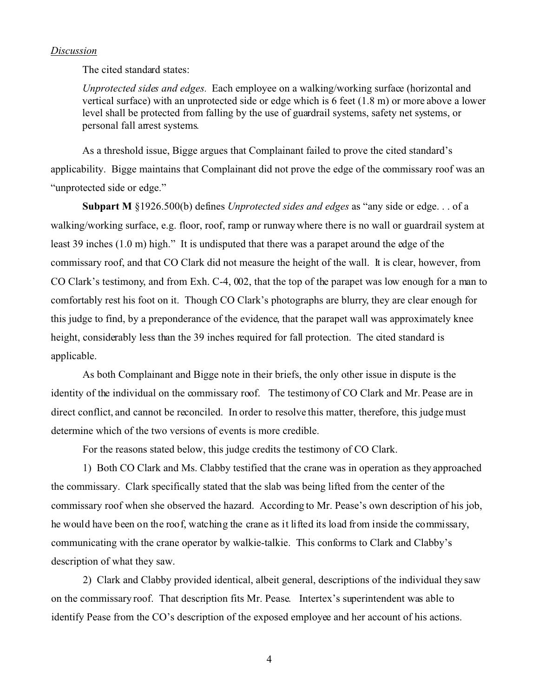### *Discussion*

The cited standard states:

*Unprotected sides and edges.* Each employee on a walking/working surface (horizontal and vertical surface) with an unprotected side or edge which is 6 feet (1.8 m) or more above a lower level shall be protected from falling by the use of guardrail systems, safety net systems, or personal fall arrest systems.

As a threshold issue, Bigge argues that Complainant failed to prove the cited standard's applicability. Bigge maintains that Complainant did not prove the edge of the commissary roof was an "unprotected side or edge."

**Subpart M** §1926.500(b) defines *Unprotected sides and edges* as "any side or edge. . . of a walking/working surface, e.g. floor, roof, ramp or runway where there is no wall or guardrail system at least 39 inches (1.0 m) high." It is undisputed that there was a parapet around the edge of the commissary roof, and that CO Clark did not measure the height of the wall. It is clear, however, from CO Clark's testimony, and from Exh. C-4, 002, that the top of the parapet was low enough for a man to comfortably rest his foot on it. Though CO Clark's photographs are blurry, they are clear enough for this judge to find, by a preponderance of the evidence, that the parapet wall was approximately knee height, considerably less than the 39 inches required for fall protection. The cited standard is applicable.

As both Complainant and Bigge note in their briefs, the only other issue in dispute is the identity of the individual on the commissary roof. The testimony of CO Clark and Mr. Pease are in direct conflict, and cannot be reconciled. In order to resolve this matter, therefore, this judge must determine which of the two versions of events is more credible.

For the reasons stated below, this judge credits the testimony of CO Clark.

1) Both CO Clark and Ms. Clabby testified that the crane was in operation as they approached the commissary. Clark specifically stated that the slab was being lifted from the center of the commissary roof when she observed the hazard. According to Mr. Pease's own description of his job, he would have been on the roof, watching the crane as it lifted its load from inside the commissary, communicating with the crane operator by walkie-talkie. This conforms to Clark and Clabby's description of what they saw.

2) Clark and Clabby provided identical, albeit general, descriptions of the individual they saw on the commissary roof. That description fits Mr. Pease. Intertex's superintendent was able to identify Pease from the CO's description of the exposed employee and her account of his actions.

4